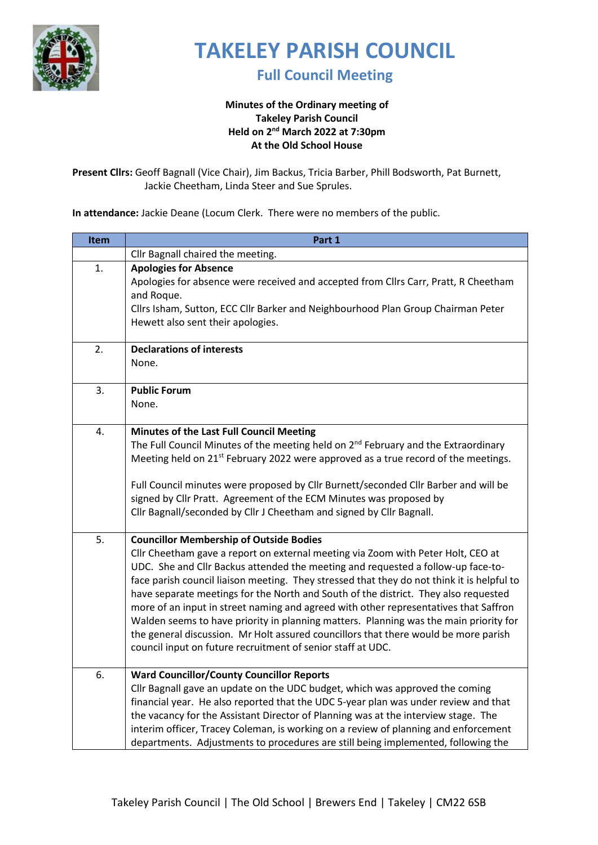

**Full Council Meeting** 

### **Minutes of the Ordinary meeting of Takeley Parish Council Held on 2 nd March 2022 at 7:30pm At the Old School House**

**Present Cllrs:** Geoff Bagnall (Vice Chair), Jim Backus, Tricia Barber, Phill Bodsworth, Pat Burnett, Jackie Cheetham, Linda Steer and Sue Sprules.

**In attendance:** Jackie Deane (Locum Clerk. There were no members of the public.

| Item | Part 1                                                                                                                                                                       |
|------|------------------------------------------------------------------------------------------------------------------------------------------------------------------------------|
|      | Cllr Bagnall chaired the meeting.                                                                                                                                            |
| 1.   | <b>Apologies for Absence</b>                                                                                                                                                 |
|      | Apologies for absence were received and accepted from Cllrs Carr, Pratt, R Cheetham                                                                                          |
|      | and Roque.                                                                                                                                                                   |
|      | Cllrs Isham, Sutton, ECC Cllr Barker and Neighbourhood Plan Group Chairman Peter                                                                                             |
|      | Hewett also sent their apologies.                                                                                                                                            |
| 2.   | <b>Declarations of interests</b>                                                                                                                                             |
|      | None.                                                                                                                                                                        |
|      |                                                                                                                                                                              |
| 3.   | <b>Public Forum</b>                                                                                                                                                          |
|      | None.                                                                                                                                                                        |
| 4.   | Minutes of the Last Full Council Meeting                                                                                                                                     |
|      | The Full Council Minutes of the meeting held on 2 <sup>nd</sup> February and the Extraordinary                                                                               |
|      | Meeting held on 21 <sup>st</sup> February 2022 were approved as a true record of the meetings.                                                                               |
|      |                                                                                                                                                                              |
|      | Full Council minutes were proposed by Cllr Burnett/seconded Cllr Barber and will be                                                                                          |
|      | signed by Cllr Pratt. Agreement of the ECM Minutes was proposed by                                                                                                           |
|      | Cllr Bagnall/seconded by Cllr J Cheetham and signed by Cllr Bagnall.                                                                                                         |
| 5.   | <b>Councillor Membership of Outside Bodies</b>                                                                                                                               |
|      | Cllr Cheetham gave a report on external meeting via Zoom with Peter Holt, CEO at                                                                                             |
|      | UDC. She and Cllr Backus attended the meeting and requested a follow-up face-to-                                                                                             |
|      | face parish council liaison meeting. They stressed that they do not think it is helpful to                                                                                   |
|      | have separate meetings for the North and South of the district. They also requested                                                                                          |
|      | more of an input in street naming and agreed with other representatives that Saffron                                                                                         |
|      | Walden seems to have priority in planning matters. Planning was the main priority for<br>the general discussion. Mr Holt assured councillors that there would be more parish |
|      | council input on future recruitment of senior staff at UDC.                                                                                                                  |
|      |                                                                                                                                                                              |
| 6.   | <b>Ward Councillor/County Councillor Reports</b>                                                                                                                             |
|      | Cllr Bagnall gave an update on the UDC budget, which was approved the coming                                                                                                 |
|      | financial year. He also reported that the UDC 5-year plan was under review and that                                                                                          |
|      | the vacancy for the Assistant Director of Planning was at the interview stage. The                                                                                           |
|      | interim officer, Tracey Coleman, is working on a review of planning and enforcement                                                                                          |
|      | departments. Adjustments to procedures are still being implemented, following the                                                                                            |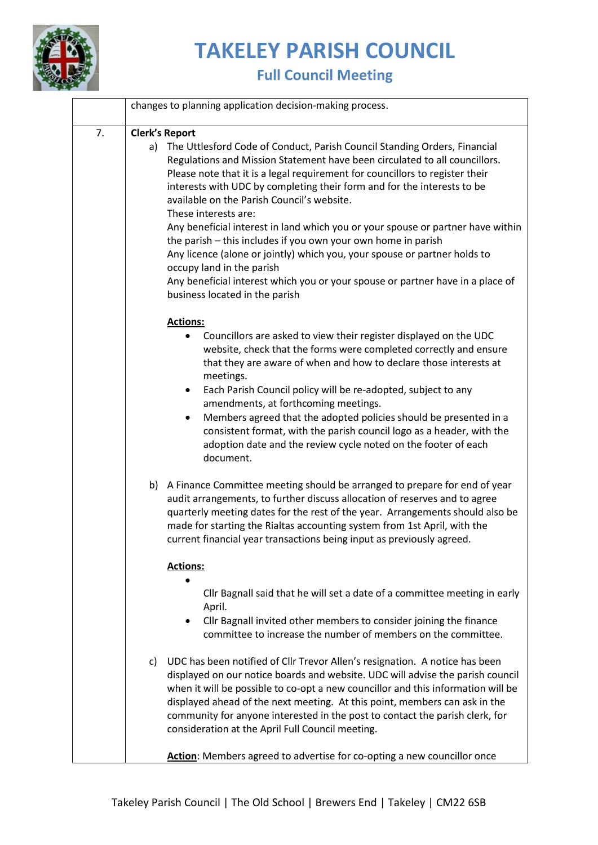

|    |    | changes to planning application decision-making process.                                                                                                                                                                                                                                                                                                                                                                                                                                                                                                                                                                                                                                                                                                                                            |
|----|----|-----------------------------------------------------------------------------------------------------------------------------------------------------------------------------------------------------------------------------------------------------------------------------------------------------------------------------------------------------------------------------------------------------------------------------------------------------------------------------------------------------------------------------------------------------------------------------------------------------------------------------------------------------------------------------------------------------------------------------------------------------------------------------------------------------|
| 7. | a) | <b>Clerk's Report</b><br>The Uttlesford Code of Conduct, Parish Council Standing Orders, Financial<br>Regulations and Mission Statement have been circulated to all councillors.<br>Please note that it is a legal requirement for councillors to register their<br>interests with UDC by completing their form and for the interests to be<br>available on the Parish Council's website.<br>These interests are:<br>Any beneficial interest in land which you or your spouse or partner have within<br>the parish - this includes if you own your own home in parish<br>Any licence (alone or jointly) which you, your spouse or partner holds to<br>occupy land in the parish<br>Any beneficial interest which you or your spouse or partner have in a place of<br>business located in the parish |
|    |    | <b>Actions:</b><br>Councillors are asked to view their register displayed on the UDC<br>٠<br>website, check that the forms were completed correctly and ensure<br>that they are aware of when and how to declare those interests at<br>meetings.<br>Each Parish Council policy will be re-adopted, subject to any<br>$\bullet$<br>amendments, at forthcoming meetings.<br>Members agreed that the adopted policies should be presented in a<br>٠<br>consistent format, with the parish council logo as a header, with the<br>adoption date and the review cycle noted on the footer of each<br>document.                                                                                                                                                                                            |
|    |    | b) A Finance Committee meeting should be arranged to prepare for end of year<br>audit arrangements, to further discuss allocation of reserves and to agree<br>quarterly meeting dates for the rest of the year. Arrangements should also be<br>made for starting the Rialtas accounting system from 1st April, with the<br>current financial year transactions being input as previously agreed.<br><b>Actions:</b>                                                                                                                                                                                                                                                                                                                                                                                 |
|    |    | Cllr Bagnall said that he will set a date of a committee meeting in early<br>April.<br>Cllr Bagnall invited other members to consider joining the finance<br>committee to increase the number of members on the committee.                                                                                                                                                                                                                                                                                                                                                                                                                                                                                                                                                                          |
|    |    | c) UDC has been notified of Cllr Trevor Allen's resignation. A notice has been<br>displayed on our notice boards and website. UDC will advise the parish council<br>when it will be possible to co-opt a new councillor and this information will be<br>displayed ahead of the next meeting. At this point, members can ask in the<br>community for anyone interested in the post to contact the parish clerk, for<br>consideration at the April Full Council meeting.<br>Action: Members agreed to advertise for co-opting a new councillor once                                                                                                                                                                                                                                                   |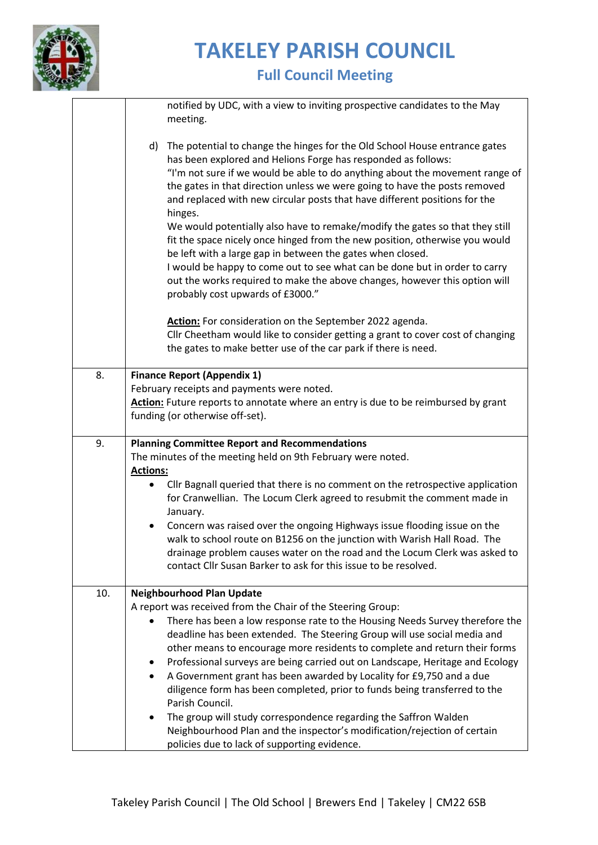

|     | notified by UDC, with a view to inviting prospective candidates to the May<br>meeting.                                                                                                                                                                                                                                                                                                                                    |
|-----|---------------------------------------------------------------------------------------------------------------------------------------------------------------------------------------------------------------------------------------------------------------------------------------------------------------------------------------------------------------------------------------------------------------------------|
|     | d) The potential to change the hinges for the Old School House entrance gates<br>has been explored and Helions Forge has responded as follows:<br>"I'm not sure if we would be able to do anything about the movement range of<br>the gates in that direction unless we were going to have the posts removed<br>and replaced with new circular posts that have different positions for the<br>hinges.                     |
|     | We would potentially also have to remake/modify the gates so that they still<br>fit the space nicely once hinged from the new position, otherwise you would<br>be left with a large gap in between the gates when closed.<br>I would be happy to come out to see what can be done but in order to carry<br>out the works required to make the above changes, however this option will<br>probably cost upwards of £3000." |
|     | Action: For consideration on the September 2022 agenda.<br>Cllr Cheetham would like to consider getting a grant to cover cost of changing<br>the gates to make better use of the car park if there is need.                                                                                                                                                                                                               |
| 8.  | <b>Finance Report (Appendix 1)</b><br>February receipts and payments were noted.<br>Action: Future reports to annotate where an entry is due to be reimbursed by grant<br>funding (or otherwise off-set).                                                                                                                                                                                                                 |
| 9.  | <b>Planning Committee Report and Recommendations</b><br>The minutes of the meeting held on 9th February were noted.                                                                                                                                                                                                                                                                                                       |
|     | <b>Actions:</b><br>Cllr Bagnall queried that there is no comment on the retrospective application<br>for Cranwellian. The Locum Clerk agreed to resubmit the comment made in<br>January.                                                                                                                                                                                                                                  |
|     | Concern was raised over the ongoing Highways issue flooding issue on the<br>walk to school route on B1256 on the junction with Warish Hall Road. The<br>drainage problem causes water on the road and the Locum Clerk was asked to<br>contact Cllr Susan Barker to ask for this issue to be resolved.                                                                                                                     |
| 10. | <b>Neighbourhood Plan Update</b>                                                                                                                                                                                                                                                                                                                                                                                          |
|     | A report was received from the Chair of the Steering Group:                                                                                                                                                                                                                                                                                                                                                               |
|     | There has been a low response rate to the Housing Needs Survey therefore the<br>deadline has been extended. The Steering Group will use social media and                                                                                                                                                                                                                                                                  |
|     | other means to encourage more residents to complete and return their forms                                                                                                                                                                                                                                                                                                                                                |
|     | Professional surveys are being carried out on Landscape, Heritage and Ecology                                                                                                                                                                                                                                                                                                                                             |
|     | A Government grant has been awarded by Locality for £9,750 and a due<br>٠<br>diligence form has been completed, prior to funds being transferred to the<br>Parish Council.                                                                                                                                                                                                                                                |
|     | The group will study correspondence regarding the Saffron Walden                                                                                                                                                                                                                                                                                                                                                          |
|     | Neighbourhood Plan and the inspector's modification/rejection of certain<br>policies due to lack of supporting evidence.                                                                                                                                                                                                                                                                                                  |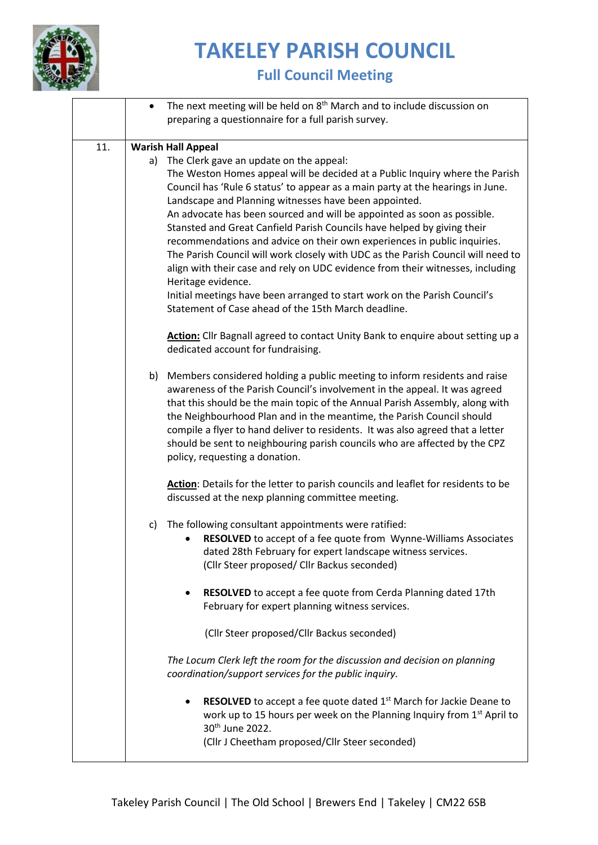

|     | $\bullet$ | The next meeting will be held on 8 <sup>th</sup> March and to include discussion on<br>preparing a questionnaire for a full parish survey.                                                                                                                                                                                                                                                                                                                                                                                                                                                                                                                                                                                                                                                                                                                           |
|-----|-----------|----------------------------------------------------------------------------------------------------------------------------------------------------------------------------------------------------------------------------------------------------------------------------------------------------------------------------------------------------------------------------------------------------------------------------------------------------------------------------------------------------------------------------------------------------------------------------------------------------------------------------------------------------------------------------------------------------------------------------------------------------------------------------------------------------------------------------------------------------------------------|
| 11. |           | <b>Warish Hall Appeal</b><br>a) The Clerk gave an update on the appeal:<br>The Weston Homes appeal will be decided at a Public Inquiry where the Parish<br>Council has 'Rule 6 status' to appear as a main party at the hearings in June.<br>Landscape and Planning witnesses have been appointed.<br>An advocate has been sourced and will be appointed as soon as possible.<br>Stansted and Great Canfield Parish Councils have helped by giving their<br>recommendations and advice on their own experiences in public inquiries.<br>The Parish Council will work closely with UDC as the Parish Council will need to<br>align with their case and rely on UDC evidence from their witnesses, including<br>Heritage evidence.<br>Initial meetings have been arranged to start work on the Parish Council's<br>Statement of Case ahead of the 15th March deadline. |
|     |           | Action: Cllr Bagnall agreed to contact Unity Bank to enquire about setting up a<br>dedicated account for fundraising.                                                                                                                                                                                                                                                                                                                                                                                                                                                                                                                                                                                                                                                                                                                                                |
|     |           | b) Members considered holding a public meeting to inform residents and raise<br>awareness of the Parish Council's involvement in the appeal. It was agreed<br>that this should be the main topic of the Annual Parish Assembly, along with<br>the Neighbourhood Plan and in the meantime, the Parish Council should<br>compile a flyer to hand deliver to residents. It was also agreed that a letter<br>should be sent to neighbouring parish councils who are affected by the CPZ<br>policy, requesting a donation.                                                                                                                                                                                                                                                                                                                                                |
|     |           | Action: Details for the letter to parish councils and leaflet for residents to be<br>discussed at the nexp planning committee meeting.                                                                                                                                                                                                                                                                                                                                                                                                                                                                                                                                                                                                                                                                                                                               |
|     | c)        | The following consultant appointments were ratified:<br>RESOLVED to accept of a fee quote from Wynne-Williams Associates<br>dated 28th February for expert landscape witness services.<br>(Cllr Steer proposed/ Cllr Backus seconded)                                                                                                                                                                                                                                                                                                                                                                                                                                                                                                                                                                                                                                |
|     |           | RESOLVED to accept a fee quote from Cerda Planning dated 17th<br>٠<br>February for expert planning witness services.                                                                                                                                                                                                                                                                                                                                                                                                                                                                                                                                                                                                                                                                                                                                                 |
|     |           | (Cllr Steer proposed/Cllr Backus seconded)                                                                                                                                                                                                                                                                                                                                                                                                                                                                                                                                                                                                                                                                                                                                                                                                                           |
|     |           | The Locum Clerk left the room for the discussion and decision on planning<br>coordination/support services for the public inquiry.                                                                                                                                                                                                                                                                                                                                                                                                                                                                                                                                                                                                                                                                                                                                   |
|     |           | <b>RESOLVED</b> to accept a fee quote dated 1 <sup>st</sup> March for Jackie Deane to<br>٠<br>work up to 15 hours per week on the Planning Inquiry from 1st April to<br>30 <sup>th</sup> June 2022.<br>(Cllr J Cheetham proposed/Cllr Steer seconded)                                                                                                                                                                                                                                                                                                                                                                                                                                                                                                                                                                                                                |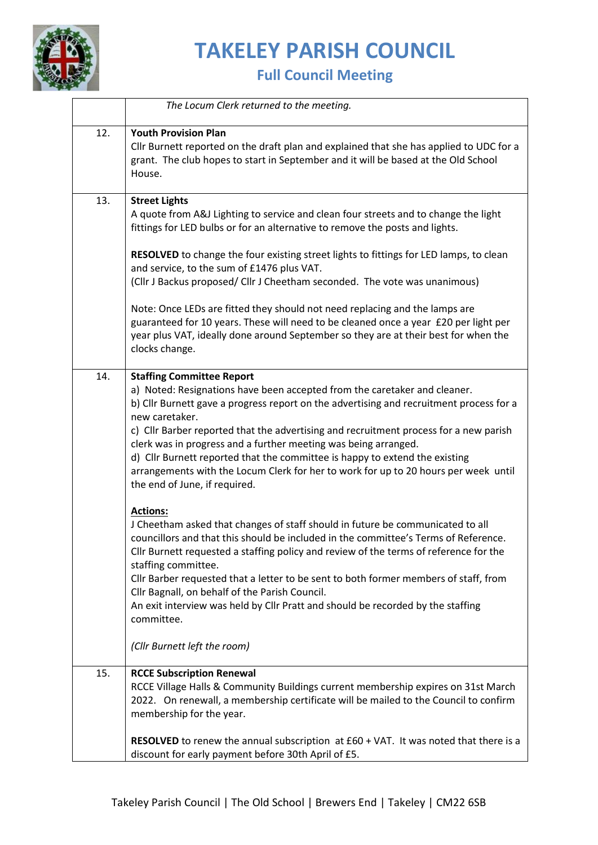

|     | The Locum Clerk returned to the meeting.                                                                                                                                                                                                                                                                                                                                                                                                                                                                                                                                                      |
|-----|-----------------------------------------------------------------------------------------------------------------------------------------------------------------------------------------------------------------------------------------------------------------------------------------------------------------------------------------------------------------------------------------------------------------------------------------------------------------------------------------------------------------------------------------------------------------------------------------------|
| 12. | <b>Youth Provision Plan</b><br>Cllr Burnett reported on the draft plan and explained that she has applied to UDC for a<br>grant. The club hopes to start in September and it will be based at the Old School<br>House.                                                                                                                                                                                                                                                                                                                                                                        |
| 13. | <b>Street Lights</b><br>A quote from A&J Lighting to service and clean four streets and to change the light<br>fittings for LED bulbs or for an alternative to remove the posts and lights.<br>RESOLVED to change the four existing street lights to fittings for LED lamps, to clean<br>and service, to the sum of £1476 plus VAT.<br>(Cllr J Backus proposed/ Cllr J Cheetham seconded. The vote was unanimous)<br>Note: Once LEDs are fitted they should not need replacing and the lamps are<br>guaranteed for 10 years. These will need to be cleaned once a year £20 per light per      |
|     | year plus VAT, ideally done around September so they are at their best for when the<br>clocks change.                                                                                                                                                                                                                                                                                                                                                                                                                                                                                         |
| 14. | <b>Staffing Committee Report</b><br>a) Noted: Resignations have been accepted from the caretaker and cleaner.<br>b) Cllr Burnett gave a progress report on the advertising and recruitment process for a<br>new caretaker.<br>c) Cllr Barber reported that the advertising and recruitment process for a new parish<br>clerk was in progress and a further meeting was being arranged.<br>d) Cllr Burnett reported that the committee is happy to extend the existing<br>arrangements with the Locum Clerk for her to work for up to 20 hours per week until<br>the end of June, if required. |
|     | <b>Actions:</b><br>J Cheetham asked that changes of staff should in future be communicated to all<br>councillors and that this should be included in the committee's Terms of Reference.<br>Cllr Burnett requested a staffing policy and review of the terms of reference for the<br>staffing committee.<br>Cllr Barber requested that a letter to be sent to both former members of staff, from<br>Cllr Bagnall, on behalf of the Parish Council.<br>An exit interview was held by Cllr Pratt and should be recorded by the staffing<br>committee.<br>(Cllr Burnett left the room)           |
| 15. | <b>RCCE Subscription Renewal</b><br>RCCE Village Halls & Community Buildings current membership expires on 31st March<br>2022. On renewall, a membership certificate will be mailed to the Council to confirm<br>membership for the year.                                                                                                                                                                                                                                                                                                                                                     |
|     | RESOLVED to renew the annual subscription at £60 + VAT. It was noted that there is a<br>discount for early payment before 30th April of £5.                                                                                                                                                                                                                                                                                                                                                                                                                                                   |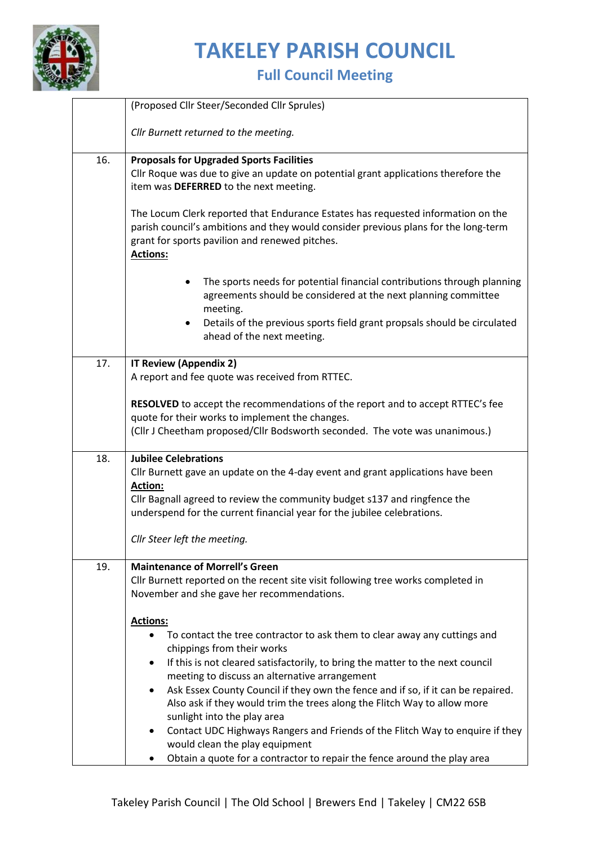

|     | (Proposed Cllr Steer/Seconded Cllr Sprules)                                                                                                                                                                                                                                                                                                                                                                                                                                                                                                                          |  |  |  |  |
|-----|----------------------------------------------------------------------------------------------------------------------------------------------------------------------------------------------------------------------------------------------------------------------------------------------------------------------------------------------------------------------------------------------------------------------------------------------------------------------------------------------------------------------------------------------------------------------|--|--|--|--|
|     | Cllr Burnett returned to the meeting.                                                                                                                                                                                                                                                                                                                                                                                                                                                                                                                                |  |  |  |  |
| 16. | <b>Proposals for Upgraded Sports Facilities</b><br>Cllr Roque was due to give an update on potential grant applications therefore the<br>item was DEFERRED to the next meeting.<br>The Locum Clerk reported that Endurance Estates has requested information on the<br>parish council's ambitions and they would consider previous plans for the long-term<br>grant for sports pavilion and renewed pitches.<br><b>Actions:</b>                                                                                                                                      |  |  |  |  |
|     | The sports needs for potential financial contributions through planning<br>agreements should be considered at the next planning committee<br>meeting.<br>Details of the previous sports field grant propsals should be circulated<br>$\bullet$<br>ahead of the next meeting.                                                                                                                                                                                                                                                                                         |  |  |  |  |
| 17. | <b>IT Review (Appendix 2)</b><br>A report and fee quote was received from RTTEC.<br>RESOLVED to accept the recommendations of the report and to accept RTTEC's fee<br>quote for their works to implement the changes.                                                                                                                                                                                                                                                                                                                                                |  |  |  |  |
|     | (Cllr J Cheetham proposed/Cllr Bodsworth seconded. The vote was unanimous.)                                                                                                                                                                                                                                                                                                                                                                                                                                                                                          |  |  |  |  |
| 18. | <b>Jubilee Celebrations</b><br>Cllr Burnett gave an update on the 4-day event and grant applications have been<br>Action:<br>Cllr Bagnall agreed to review the community budget s137 and ringfence the<br>underspend for the current financial year for the jubilee celebrations.                                                                                                                                                                                                                                                                                    |  |  |  |  |
|     | Cllr Steer left the meeting.                                                                                                                                                                                                                                                                                                                                                                                                                                                                                                                                         |  |  |  |  |
| 19. | <b>Maintenance of Morrell's Green</b><br>Cllr Burnett reported on the recent site visit following tree works completed in<br>November and she gave her recommendations.                                                                                                                                                                                                                                                                                                                                                                                              |  |  |  |  |
|     | <b>Actions:</b><br>To contact the tree contractor to ask them to clear away any cuttings and<br>٠<br>chippings from their works<br>If this is not cleared satisfactorily, to bring the matter to the next council<br>٠<br>meeting to discuss an alternative arrangement<br>Ask Essex County Council if they own the fence and if so, if it can be repaired.<br>Also ask if they would trim the trees along the Flitch Way to allow more<br>sunlight into the play area<br>Contact UDC Highways Rangers and Friends of the Flitch Way to enquire if they<br>$\bullet$ |  |  |  |  |
|     | would clean the play equipment<br>Obtain a quote for a contractor to repair the fence around the play area                                                                                                                                                                                                                                                                                                                                                                                                                                                           |  |  |  |  |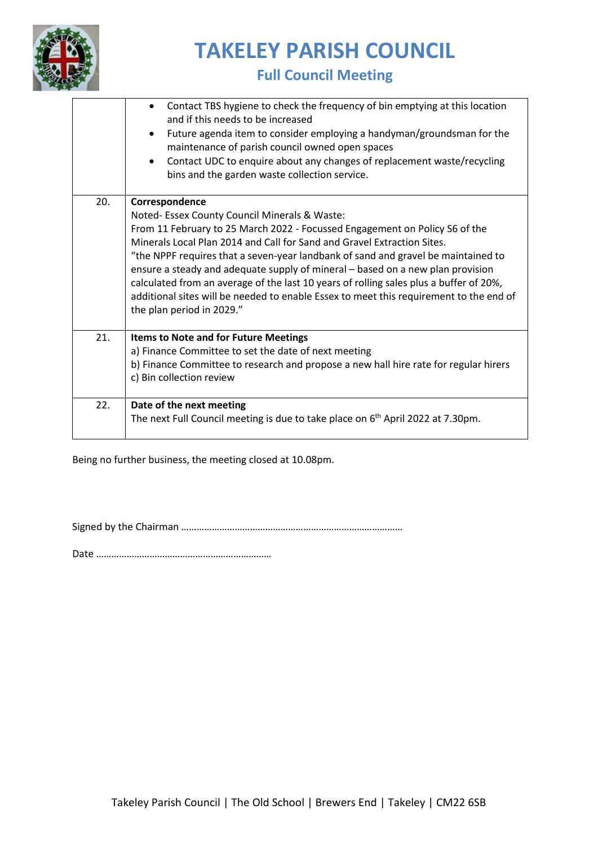

### **Full Council Meeting**

|     | Contact TBS hygiene to check the frequency of bin emptying at this location<br>and if this needs to be increased<br>Future agenda item to consider employing a handyman/groundsman for the<br>maintenance of parish council owned open spaces<br>Contact UDC to enquire about any changes of replacement waste/recycling                                                                                                                                                                                                                                                                                          |
|-----|-------------------------------------------------------------------------------------------------------------------------------------------------------------------------------------------------------------------------------------------------------------------------------------------------------------------------------------------------------------------------------------------------------------------------------------------------------------------------------------------------------------------------------------------------------------------------------------------------------------------|
|     | bins and the garden waste collection service.                                                                                                                                                                                                                                                                                                                                                                                                                                                                                                                                                                     |
| 20. | Correspondence<br>Noted- Essex County Council Minerals & Waste:<br>From 11 February to 25 March 2022 - Focussed Engagement on Policy S6 of the<br>Minerals Local Plan 2014 and Call for Sand and Gravel Extraction Sites.<br>"the NPPF requires that a seven-year landbank of sand and gravel be maintained to<br>ensure a steady and adequate supply of mineral - based on a new plan provision<br>calculated from an average of the last 10 years of rolling sales plus a buffer of 20%,<br>additional sites will be needed to enable Essex to meet this requirement to the end of<br>the plan period in 2029." |
| 21. | Items to Note and for Future Meetings<br>a) Finance Committee to set the date of next meeting<br>b) Finance Committee to research and propose a new hall hire rate for regular hirers<br>c) Bin collection review                                                                                                                                                                                                                                                                                                                                                                                                 |
| 22. | Date of the next meeting<br>The next Full Council meeting is due to take place on 6 <sup>th</sup> April 2022 at 7.30pm.                                                                                                                                                                                                                                                                                                                                                                                                                                                                                           |

Being no further business, the meeting closed at 10.08pm.

Signed by the Chairman ……………………………………………………………………………

Date ……………………………………………………………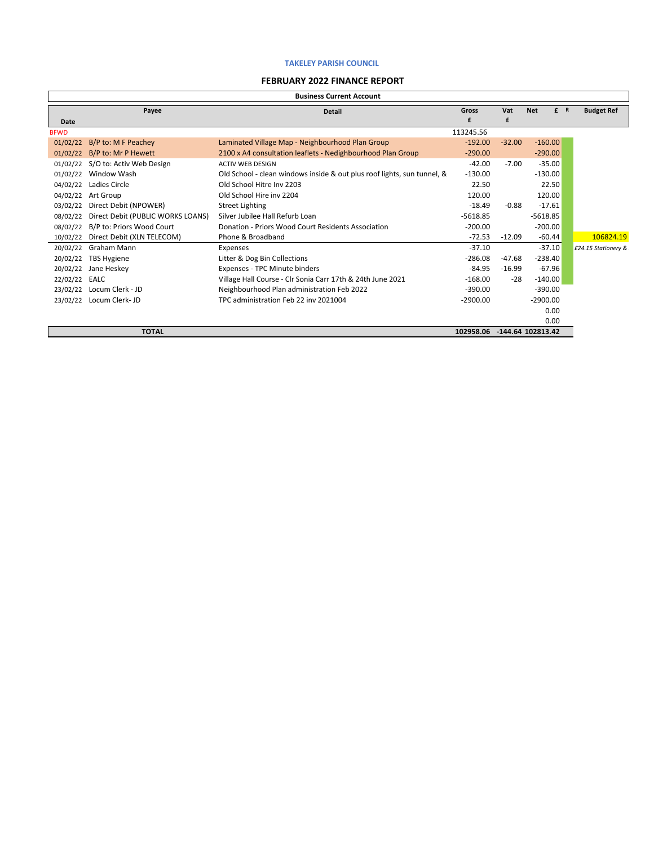#### **FEBRUARY 2022 FINANCE REPORT**

Ē

|             |                                   | <b>Business Current Account</b>                                         |            |          |                   |     |                      |
|-------------|-----------------------------------|-------------------------------------------------------------------------|------------|----------|-------------------|-----|----------------------|
|             | Payee                             | <b>Detail</b>                                                           | Gross      | Vat      | <b>Net</b>        | f R | <b>Budget Ref</b>    |
| <b>Date</b> |                                   |                                                                         | £          | £        |                   |     |                      |
| <b>BFWD</b> |                                   |                                                                         | 113245.56  |          |                   |     |                      |
| 01/02/22    | B/P to: M F Peachey               | Laminated Village Map - Neighbourhood Plan Group                        | $-192.00$  | $-32.00$ | $-160.00$         |     |                      |
| 01/02/22    | B/P to: Mr P Hewett               | 2100 x A4 consultation leaflets - Nedighbourhood Plan Group             | $-290.00$  |          | $-290.00$         |     |                      |
| 01/02/22    | S/O to: Activ Web Design          | <b>ACTIV WEB DESIGN</b>                                                 | $-42.00$   | $-7.00$  | $-35.00$          |     |                      |
| 01/02/22    | Window Wash                       | Old School - clean windows inside & out plus roof lights, sun tunnel, & | $-130.00$  |          | $-130.00$         |     |                      |
| 04/02/22    | Ladies Circle                     | Old School Hitre Inv 2203                                               | 22.50      |          | 22.50             |     |                      |
| 04/02/22    | Art Group                         | Old School Hire inv 2204                                                | 120.00     |          | 120.00            |     |                      |
| 03/02/22    | Direct Debit (NPOWER)             | <b>Street Lighting</b>                                                  | $-18.49$   | $-0.88$  | $-17.61$          |     |                      |
| 08/02/22    | Direct Debit (PUBLIC WORKS LOANS) | Silver Jubilee Hall Refurb Loan                                         | $-5618.85$ |          | $-5618.85$        |     |                      |
| 08/02/22    | B/P to: Priors Wood Court         | Donation - Priors Wood Court Residents Association                      | $-200.00$  |          | $-200.00$         |     |                      |
| 10/02/22    | Direct Debit (XLN TELECOM)        | Phone & Broadband                                                       | $-72.53$   | $-12.09$ | $-60.44$          |     | 106824.19            |
| 20/02/22    | Graham Mann                       | Expenses                                                                | $-37.10$   |          | $-37.10$          |     | £24.15 Stationery &: |
| 20/02/22    | TBS Hygiene                       | Litter & Dog Bin Collections                                            | $-286.08$  | $-47.68$ | $-238.40$         |     |                      |
| 20/02/22    | Jane Heskey                       | Expenses - TPC Minute binders                                           | $-84.95$   | $-16.99$ | $-67.96$          |     |                      |
| 22/02/22    | EALC                              | Village Hall Course - Clr Sonia Carr 17th & 24th June 2021              | $-168.00$  | $-28$    | $-140.00$         |     |                      |
| 23/02/22    | Locum Clerk - JD                  | Neighbourhood Plan administration Feb 2022                              | $-390.00$  |          | $-390.00$         |     |                      |
| 23/02/22    | Locum Clerk- JD                   | TPC administration Feb 22 inv 2021004                                   | $-2900.00$ |          | $-2900.00$        |     |                      |
|             |                                   |                                                                         |            |          | 0.00              |     |                      |
|             |                                   |                                                                         |            |          | 0.00              |     |                      |
|             | <b>TOTAL</b>                      |                                                                         | 102958.06  |          | -144.64 102813.42 |     |                      |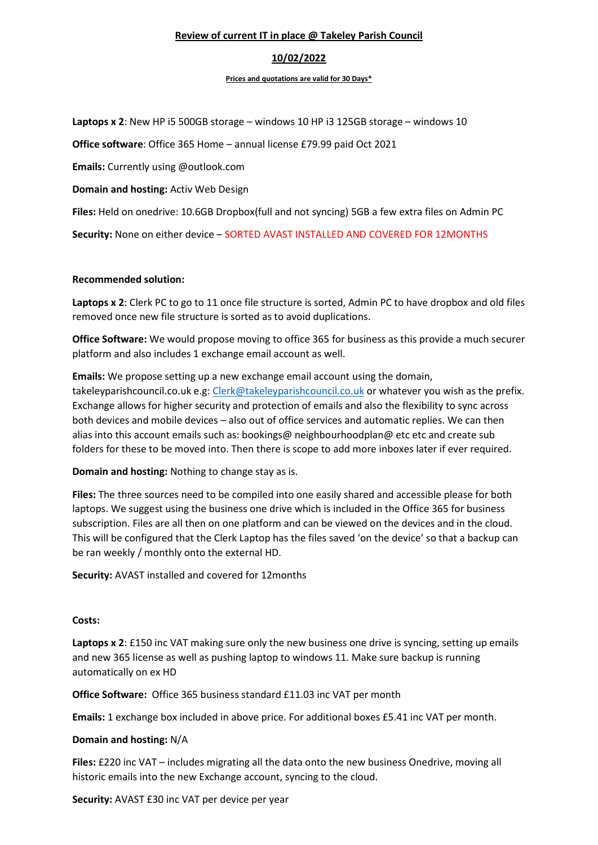### Review of current IT in place @ Takeley Parish Council

### 10/02/2022

#### Prices and quotations are valid for 30 Days\*

Laptops x 2: New HP i5 500GB storage – windows 10 HP i3 125GB storage – windows 10

Office software: Office 365 Home – annual license £79.99 paid Oct 2021

Emails: Currently using @outlook.com

Domain and hosting: Activ Web Design

Files: Held on onedrive: 10.6GB Dropbox(full and not syncing) 5GB a few extra files on Admin PC

Security: None on either device – SORTED AVAST INSTALLED AND COVERED FOR 12MONTHS

#### Recommended solution:

Laptops x 2: Clerk PC to go to 11 once file structure is sorted, Admin PC to have dropbox and old files removed once new file structure is sorted as to avoid duplications.

Office Software: We would propose moving to office 365 for business as this provide a much securer platform and also includes 1 exchange email account as well.

Emails: We propose setting up a new exchange email account using the domain, takeleyparishcouncil.co.uk e.g: Clerk@takeleyparishcouncil.co.uk or whatever you wish as the prefix. Exchange allows for higher security and protection of emails and also the flexibility to sync across both devices and mobile devices – also out of office services and automatic replies. We can then alias into this account emails such as: bookings@ neighbourhoodplan@ etc etc and create sub folders for these to be moved into. Then there is scope to add more inboxes later if ever required.

Domain and hosting: Nothing to change stay as is.

Files: The three sources need to be compiled into one easily shared and accessible please for both laptops. We suggest using the business one drive which is included in the Office 365 for business subscription. Files are all then on one platform and can be viewed on the devices and in the cloud. This will be configured that the Clerk Laptop has the files saved 'on the device' so that a backup can be ran weekly / monthly onto the external HD.

Security: AVAST installed and covered for 12months

#### Costs:

Laptops x 2: £150 inc VAT making sure only the new business one drive is syncing, setting up emails and new 365 license as well as pushing laptop to windows 11. Make sure backup is running automatically on ex HD

Office Software: Office 365 business standard £11.03 inc VAT per month

Emails: 1 exchange box included in above price. For additional boxes £5.41 inc VAT per month.

#### Domain and hosting: N/A

Files: £220 inc VAT – includes migrating all the data onto the new business Onedrive, moving all historic emails into the new Exchange account, syncing to the cloud.

Security: AVAST £30 inc VAT per device per year